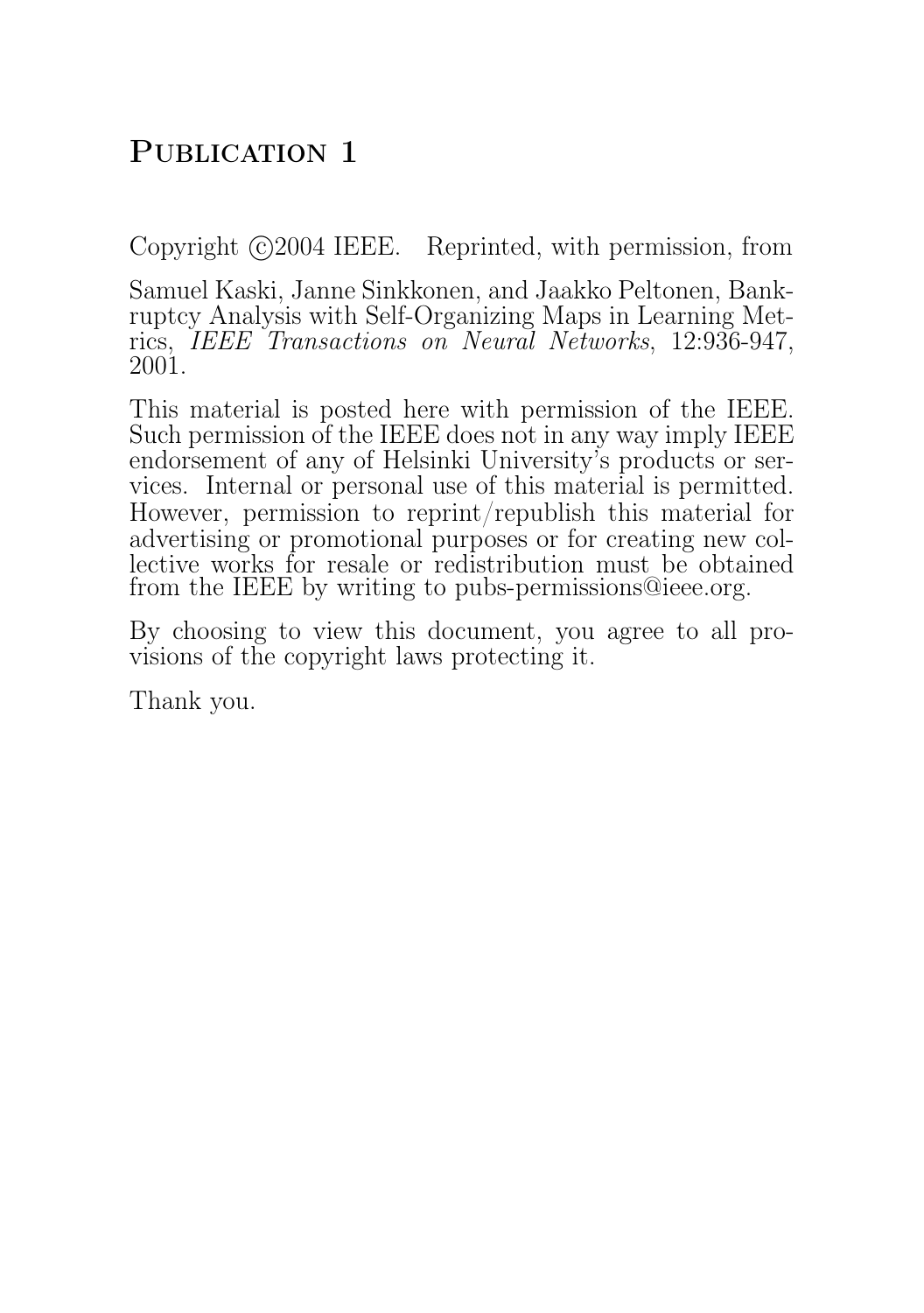### PUBLICATION 1

Copyright  $\odot$ 2004 IEEE. Reprinted, with permission, from

Samuel Kaski, Janne Sinkkonen, and Jaakko Peltonen, Bankruptcy Analysis with Self-Organizing Maps in Learning Metrics, IEEE Transactions on Neural Networks, 12:936-947, 2001.

This material is posted here with permission of the IEEE. Such permission of the IEEE does not in any way imply IEEE endorsement of any of Helsinki University's products or services. Internal or personal use of this material is permitted. However, permission to reprint/republish this material for advertising or promotional purposes or for creating new collective works for resale or redistribution must be obtained from the IEEE by writing to pubs-permissions@ieee.org.

By choosing to view this document, you agree to all provisions of the copyright laws protecting it.

Thank you.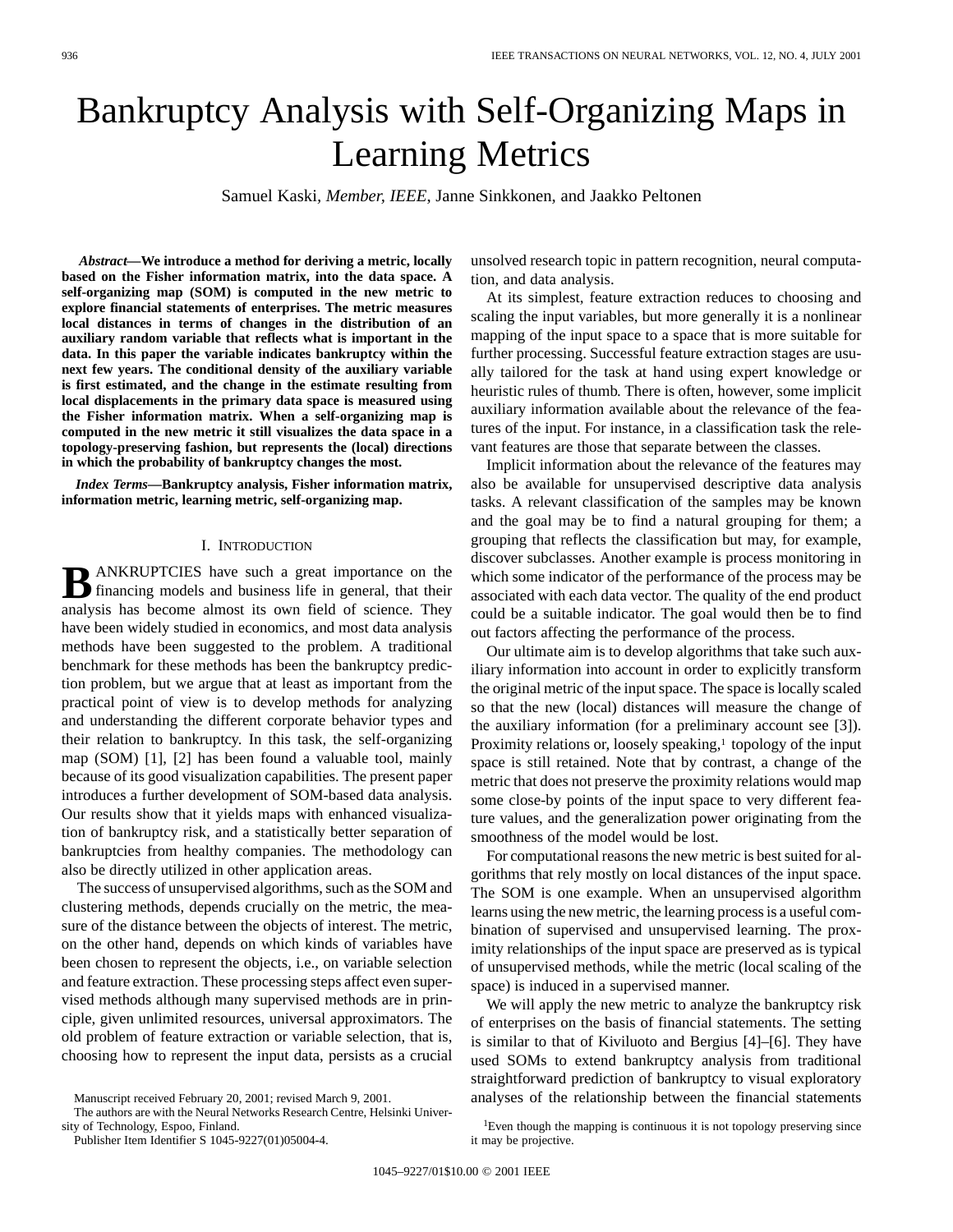## Bankruptcy Analysis with Self-Organizing Maps in Learning Metrics

Samuel Kaski*, Member, IEEE*, Janne Sinkkonen, and Jaakko Peltonen

*Abstract—***We introduce a method for deriving a metric, locally based on the Fisher information matrix, into the data space. A self-organizing map (SOM) is computed in the new metric to explore financial statements of enterprises. The metric measures local distances in terms of changes in the distribution of an auxiliary random variable that reflects what is important in the data. In this paper the variable indicates bankruptcy within the next few years. The conditional density of the auxiliary variable is first estimated, and the change in the estimate resulting from local displacements in the primary data space is measured using the Fisher information matrix. When a self-organizing map is computed in the new metric it still visualizes the data space in a topology-preserving fashion, but represents the (local) directions in which the probability of bankruptcy changes the most.**

*Index Terms—***Bankruptcy analysis, Fisher information matrix, information metric, learning metric, self-organizing map.**

#### I. INTRODUCTION

**B** ANKRUPTCIES have such a great importance on the financing models and business life in general, that their analysis has become almost its own field of science. They have been widely studied in economics, and most data analysis methods have been suggested to the problem. A traditional benchmark for these methods has been the bankruptcy prediction problem, but we argue that at least as important from the practical point of view is to develop methods for analyzing and understanding the different corporate behavior types and their relation to bankruptcy. In this task, the self-organizing map (SOM) [1], [2] has been found a valuable tool, mainly because of its good visualization capabilities. The present paper introduces a further development of SOM-based data analysis. Our results show that it yields maps with enhanced visualization of bankruptcy risk, and a statistically better separation of bankruptcies from healthy companies. The methodology can also be directly utilized in other application areas.

The success of unsupervised algorithms, such as the SOM and clustering methods, depends crucially on the metric, the measure of the distance between the objects of interest. The metric, on the other hand, depends on which kinds of variables have been chosen to represent the objects, i.e., on variable selection and feature extraction. These processing steps affect even supervised methods although many supervised methods are in principle, given unlimited resources, universal approximators. The old problem of feature extraction or variable selection, that is, choosing how to represent the input data, persists as a crucial

The authors are with the Neural Networks Research Centre, Helsinki University of Technology, Espoo, Finland.

Publisher Item Identifier S 1045-9227(01)05004-4.

unsolved research topic in pattern recognition, neural computation, and data analysis.

At its simplest, feature extraction reduces to choosing and scaling the input variables, but more generally it is a nonlinear mapping of the input space to a space that is more suitable for further processing. Successful feature extraction stages are usually tailored for the task at hand using expert knowledge or heuristic rules of thumb. There is often, however, some implicit auxiliary information available about the relevance of the features of the input. For instance, in a classification task the relevant features are those that separate between the classes.

Implicit information about the relevance of the features may also be available for unsupervised descriptive data analysis tasks. A relevant classification of the samples may be known and the goal may be to find a natural grouping for them; a grouping that reflects the classification but may, for example, discover subclasses. Another example is process monitoring in which some indicator of the performance of the process may be associated with each data vector. The quality of the end product could be a suitable indicator. The goal would then be to find out factors affecting the performance of the process.

Our ultimate aim is to develop algorithms that take such auxiliary information into account in order to explicitly transform the original metric of the input space. The space is locally scaled so that the new (local) distances will measure the change of the auxiliary information (for a preliminary account see [3]). Proximity relations or, loosely speaking,<sup>1</sup> topology of the input space is still retained. Note that by contrast, a change of the metric that does not preserve the proximity relations would map some close-by points of the input space to very different feature values, and the generalization power originating from the smoothness of the model would be lost.

For computational reasons the new metric is best suited for algorithms that rely mostly on local distances of the input space. The SOM is one example. When an unsupervised algorithm learns using the new metric, the learning process is a useful combination of supervised and unsupervised learning. The proximity relationships of the input space are preserved as is typical of unsupervised methods, while the metric (local scaling of the space) is induced in a supervised manner.

We will apply the new metric to analyze the bankruptcy risk of enterprises on the basis of financial statements. The setting is similar to that of Kiviluoto and Bergius [4]–[6]. They have used SOMs to extend bankruptcy analysis from traditional straightforward prediction of bankruptcy to visual exploratory analyses of the relationship between the financial statements

Manuscript received February 20, 2001; revised March 9, 2001.

<sup>&</sup>lt;sup>1</sup>Even though the mapping is continuous it is not topology preserving since it may be projective.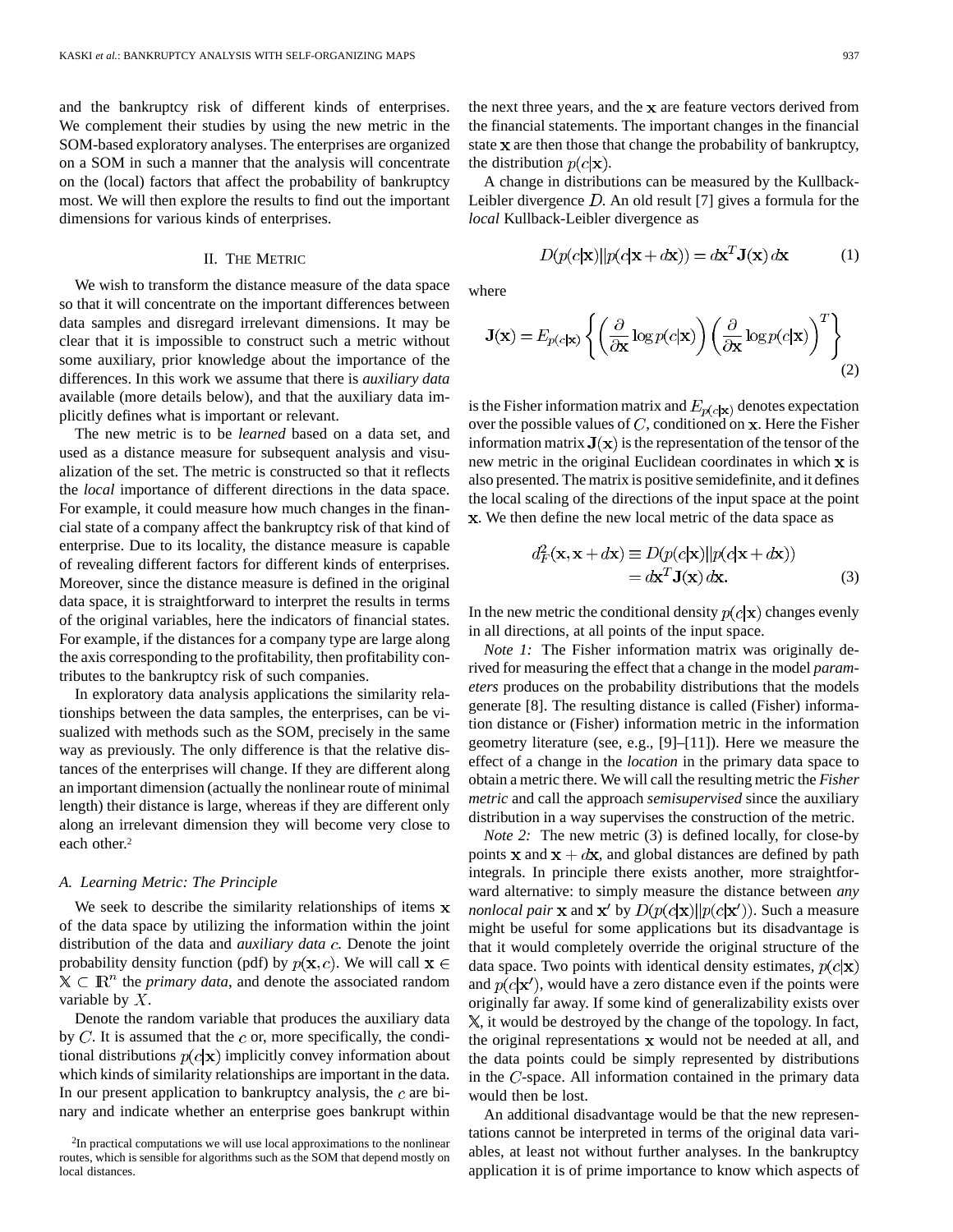and the bankruptcy risk of different kinds of enterprises. We complement their studies by using the new metric in the SOM-based exploratory analyses. The enterprises are organized on a SOM in such a manner that the analysis will concentrate on the (local) factors that affect the probability of bankruptcy most. We will then explore the results to find out the important dimensions for various kinds of enterprises.

#### II. THE METRIC

We wish to transform the distance measure of the data space so that it will concentrate on the important differences between data samples and disregard irrelevant dimensions. It may be clear that it is impossible to construct such a metric without some auxiliary, prior knowledge about the importance of the differences. In this work we assume that there is *auxiliary data* available (more details below), and that the auxiliary data implicitly defines what is important or relevant.

The new metric is to be *learned* based on a data set, and used as a distance measure for subsequent analysis and visualization of the set. The metric is constructed so that it reflects the *local* importance of different directions in the data space. For example, it could measure how much changes in the financial state of a company affect the bankruptcy risk of that kind of enterprise. Due to its locality, the distance measure is capable of revealing different factors for different kinds of enterprises. Moreover, since the distance measure is defined in the original data space, it is straightforward to interpret the results in terms of the original variables, here the indicators of financial states. For example, if the distances for a company type are large along the axis corresponding to the profitability, then profitability contributes to the bankruptcy risk of such companies.

In exploratory data analysis applications the similarity relationships between the data samples, the enterprises, can be visualized with methods such as the SOM, precisely in the same way as previously. The only difference is that the relative distances of the enterprises will change. If they are different along an important dimension (actually the nonlinear route of minimal length) their distance is large, whereas if they are different only along an irrelevant dimension they will become very close to each other.2

#### *A. Learning Metric: The Principle*

We seek to describe the similarity relationships of items  $x$ of the data space by utilizing the information within the joint distribution of the data and *auxiliary data c*. Denote the joint probability density function (pdf) by  $p(x, c)$ . We will call  $x \in$  $\mathbb{X} \subset \mathbb{R}^n$  the *primary data*, and denote the associated random variable by  $X$ .

Denote the random variable that produces the auxiliary data by  $C$ . It is assumed that the  $c$  or, more specifically, the conditional distributions  $p(c|\mathbf{x})$  implicitly convey information about which kinds of similarity relationships are important in the data. In our present application to bankruptcy analysis, the  $c$  are binary and indicate whether an enterprise goes bankrupt within

A change in distributions can be measured by the Kullback-Leibler divergence  $D$ . An old result [7] gives a formula for the *local* Kullback-Leibler divergence as

$$
D(p(c|\mathbf{x})||p(c|\mathbf{x}+d\mathbf{x})) = d\mathbf{x}^T \mathbf{J}(\mathbf{x}) d\mathbf{x}
$$
 (1)

where

the distribution  $p(c|\mathbf{x})$ .

$$
\mathbf{J}(\mathbf{x}) = E_{p(c|\mathbf{x})} \left\{ \left( \frac{\partial}{\partial \mathbf{x}} \log p(c|\mathbf{x}) \right) \left( \frac{\partial}{\partial \mathbf{x}} \log p(c|\mathbf{x}) \right)^T \right\}
$$
(2)

is the Fisher information matrix and  $E_{p(c|\mathbf{x})}$  denotes expectation over the possible values of  $C$ , conditioned on  $x$ . Here the Fisher information matrix  $J(x)$  is the representation of the tensor of the new metric in the original Euclidean coordinates in which  $x$  is also presented. The matrix is positive semidefinite, and it defines the local scaling of the directions of the input space at the point . We then define the new local metric of the data space as

$$
d_F^2(\mathbf{x}, \mathbf{x} + d\mathbf{x}) \equiv D(p(c|\mathbf{x})||p(c|\mathbf{x} + d\mathbf{x}))
$$
  
=  $d\mathbf{x}^T \mathbf{J}(\mathbf{x}) d\mathbf{x}$ . (3)

In the new metric the conditional density  $p(c|\mathbf{x})$  changes evenly in all directions, at all points of the input space.

*Note 1:* The Fisher information matrix was originally derived for measuring the effect that a change in the model *parameters* produces on the probability distributions that the models generate [8]. The resulting distance is called (Fisher) information distance or (Fisher) information metric in the information geometry literature (see, e.g., [9]–[11]). Here we measure the effect of a change in the *location* in the primary data space to obtain a metric there. We will call the resulting metric the *Fisher metric* and call the approach *semisupervised* since the auxiliary distribution in a way supervises the construction of the metric.

*Note 2:* The new metric (3) is defined locally, for close-by points x and  $x + dx$ , and global distances are defined by path integrals. In principle there exists another, more straightforward alternative: to simply measure the distance between *any nonlocal pair* **x** and **x'** by  $D(p(c|\mathbf{x})||p(c|\mathbf{x}'))$ . Such a measure might be useful for some applications but its disadvantage is that it would completely override the original structure of the data space. Two points with identical density estimates,  $p(c|\mathbf{x})$ and  $p(c|\mathbf{x}')$ , would have a zero distance even if the points were originally far away. If some kind of generalizability exists over , it would be destroyed by the change of the topology. In fact, the original representations  $x$  would not be needed at all, and the data points could be simply represented by distributions in the  $C$ -space. All information contained in the primary data would then be lost.

An additional disadvantage would be that the new representations cannot be interpreted in terms of the original data variables, at least not without further analyses. In the bankruptcy application it is of prime importance to know which aspects of

<sup>2</sup>In practical computations we will use local approximations to the nonlinear routes, which is sensible for algorithms such as the SOM that depend mostly on local distances.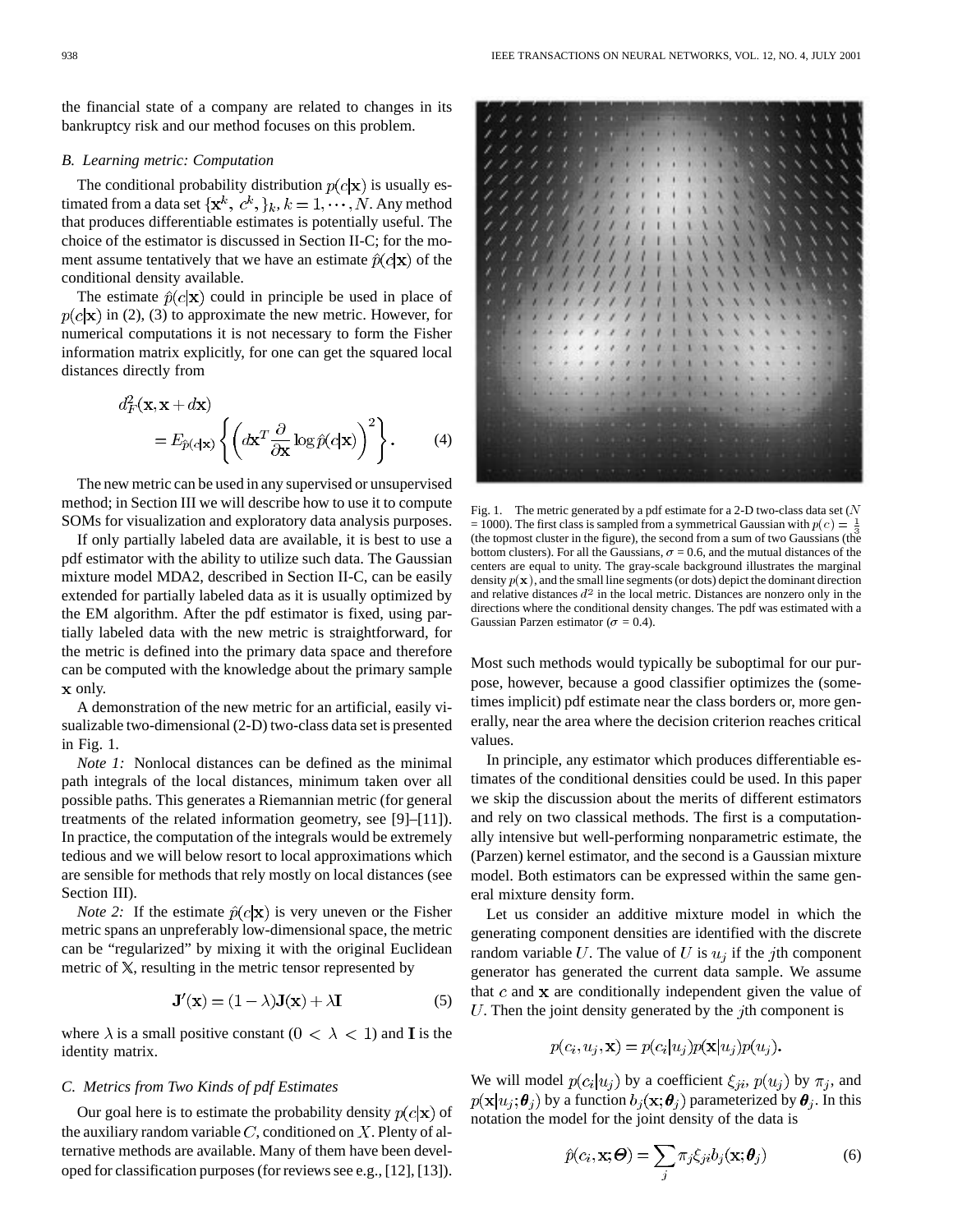the financial state of a company are related to changes in its bankruptcy risk and our method focuses on this problem.

#### *B. Learning metric: Computation*

The conditional probability distribution  $p(c|\mathbf{x})$  is usually estimated from a data set  $\{x^k, c^k, \}_k, k = 1, \dots, N$ . Any method that produces differentiable estimates is potentially useful. The choice of the estimator is discussed in Section II-C; for the moment assume tentatively that we have an estimate  $\hat{p}(c|\mathbf{x})$  of the conditional density available.

The estimate  $\hat{p}(c|\mathbf{x})$  could in principle be used in place of  $p(c|\mathbf{x})$  in (2), (3) to approximate the new metric. However, for numerical computations it is not necessary to form the Fisher information matrix explicitly, for one can get the squared local distances directly from

$$
d_F^2(\mathbf{x}, \mathbf{x} + d\mathbf{x})
$$
  
=  $E_{\hat{p}(c|\mathbf{x})} \left\{ \left( d\mathbf{x}^T \frac{\partial}{\partial \mathbf{x}} \log \hat{p}(c|\mathbf{x}) \right)^2 \right\}.$  (4)

The new metric can be used in any supervised or unsupervised method; in Section III we will describe how to use it to compute SOMs for visualization and exploratory data analysis purposes.

If only partially labeled data are available, it is best to use a pdf estimator with the ability to utilize such data. The Gaussian mixture model MDA2, described in Section II-C, can be easily extended for partially labeled data as it is usually optimized by the EM algorithm. After the pdf estimator is fixed, using partially labeled data with the new metric is straightforward, for the metric is defined into the primary data space and therefore can be computed with the knowledge about the primary sample **x** only.

A demonstration of the new metric for an artificial, easily visualizable two-dimensional (2-D) two-class data set is presented in Fig. 1.

*Note 1:* Nonlocal distances can be defined as the minimal path integrals of the local distances, minimum taken over all possible paths. This generates a Riemannian metric (for general treatments of the related information geometry, see [9]–[11]). In practice, the computation of the integrals would be extremely tedious and we will below resort to local approximations which are sensible for methods that rely mostly on local distances (see Section III).

*Note 2:* If the estimate  $\hat{p}(c|\mathbf{x})$  is very uneven or the Fisher metric spans an unpreferably low-dimensional space, the metric can be "regularized" by mixing it with the original Euclidean metric of  $X$ , resulting in the metric tensor represented by

$$
\mathbf{J}'(\mathbf{x}) = (1 - \lambda)\mathbf{J}(\mathbf{x}) + \lambda\mathbf{I}
$$
 (5)

where  $\lambda$  is a small positive constant  $(0 < \lambda < 1)$  and **I** is the identity matrix.

#### *C. Metrics from Two Kinds of pdf Estimates*

Our goal here is to estimate the probability density  $p(c|\mathbf{x})$  of the auxiliary random variable  $C$ , conditioned on  $X$ . Plenty of alternative methods are available. Many of them have been developed for classification purposes (for reviews see e.g., [12], [13]).

|   |   |   |    |  |                       |               |                   |   | a control of the product of the con- |   |     |  |                      |  |  |  |  |
|---|---|---|----|--|-----------------------|---------------|-------------------|---|--------------------------------------|---|-----|--|----------------------|--|--|--|--|
|   |   |   |    |  |                       |               | <b>STATISTICS</b> |   |                                      | ٠ | . . |  |                      |  |  |  |  |
|   |   |   |    |  |                       |               | <b>CALL BOARD</b> | ٠ |                                      |   | ٠   |  |                      |  |  |  |  |
|   |   |   |    |  |                       |               |                   |   |                                      |   |     |  |                      |  |  |  |  |
|   |   |   |    |  |                       |               |                   |   |                                      |   |     |  |                      |  |  |  |  |
|   |   |   |    |  |                       |               |                   |   |                                      |   |     |  |                      |  |  |  |  |
|   |   |   |    |  |                       |               |                   |   |                                      |   |     |  |                      |  |  |  |  |
|   |   |   |    |  | $\sqrt{1}$            | $\sqrt{1}$    |                   |   |                                      |   |     |  |                      |  |  |  |  |
|   | x |   |    |  | $\sqrt{2}$            |               | $\prime$          |   |                                      |   |     |  |                      |  |  |  |  |
| л | , | x | g. |  | 11111                 |               |                   |   |                                      |   |     |  |                      |  |  |  |  |
| r |   |   |    |  | 11111                 |               |                   |   |                                      |   |     |  |                      |  |  |  |  |
|   |   |   |    |  | 111111                |               |                   |   |                                      |   |     |  |                      |  |  |  |  |
|   |   |   |    |  | 1111                  |               |                   | x |                                      |   |     |  |                      |  |  |  |  |
|   |   |   |    |  |                       | $\mathcal{L}$ |                   |   |                                      |   |     |  |                      |  |  |  |  |
|   |   |   |    |  |                       |               |                   |   |                                      |   |     |  |                      |  |  |  |  |
|   |   |   |    |  |                       |               |                   |   |                                      |   |     |  |                      |  |  |  |  |
|   |   |   |    |  |                       |               |                   |   |                                      |   |     |  |                      |  |  |  |  |
|   |   |   |    |  |                       | a c           | ×                 |   |                                      |   |     |  |                      |  |  |  |  |
|   |   |   |    |  |                       |               |                   |   |                                      |   |     |  |                      |  |  |  |  |
|   |   |   |    |  |                       | ٠             |                   |   | and with the first state with        |   |     |  |                      |  |  |  |  |
|   |   |   |    |  | <b>Children House</b> |               |                   |   |                                      |   |     |  | <b>THE RESIDENCE</b> |  |  |  |  |
|   |   |   |    |  |                       |               |                   |   |                                      |   |     |  |                      |  |  |  |  |
|   |   |   |    |  |                       |               |                   |   |                                      |   |     |  |                      |  |  |  |  |
|   |   |   |    |  |                       |               |                   |   |                                      |   |     |  |                      |  |  |  |  |

Fig. 1. The metric generated by a pdf estimate for a 2-D two-class data set (N  $= 1000$ ). The first class is sampled from a symmetrical Gaussian with  $p(c) =$ (the topmost cluster in the figure), the second from a sum of two Gaussians (the bottom clusters). For all the Gaussians,  $\sigma = 0.6$ , and the mutual distances of the centers are equal to unity. The gray-scale background illustrates the marginal density  $p(x)$ , and the small line segments (or dots) depict the dominant direction and relative distances  $d^2$  in the local metric. Distances are nonzero only in the directions where the conditional density changes. The pdf was estimated with a Gaussian Parzen estimator ( $\sigma$  = 0.4).

Most such methods would typically be suboptimal for our purpose, however, because a good classifier optimizes the (sometimes implicit) pdf estimate near the class borders or, more generally, near the area where the decision criterion reaches critical values.

In principle, any estimator which produces differentiable estimates of the conditional densities could be used. In this paper we skip the discussion about the merits of different estimators and rely on two classical methods. The first is a computationally intensive but well-performing nonparametric estimate, the (Parzen) kernel estimator, and the second is a Gaussian mixture model. Both estimators can be expressed within the same general mixture density form.

Let us consider an additive mixture model in which the generating component densities are identified with the discrete random variable U. The value of U is  $u_i$  if the jth component generator has generated the current data sample. We assume that  $c$  and  $x$  are conditionally independent given the value of U. Then the joint density generated by the  $j$ th component is

$$
p(c_i, u_j, \mathbf{x}) = p(c_i|u_j)p(\mathbf{x}|u_j)p(u_j).
$$

We will model  $p(c_i|u_j)$  by a coefficient  $\xi_{ji}$ ,  $p(u_j)$  by  $\pi_j$ , and  $p(\mathbf{x}|u_i;\boldsymbol{\theta}_i)$  by a function  $b_i(\mathbf{x};\boldsymbol{\theta}_i)$  parameterized by  $\boldsymbol{\theta}_i$ . In this notation the model for the joint density of the data is

$$
\hat{p}(c_i, \mathbf{x}; \boldsymbol{\Theta}) = \sum_j \pi_j \xi_{ji} b_j(\mathbf{x}; \boldsymbol{\theta}_j)
$$
(6)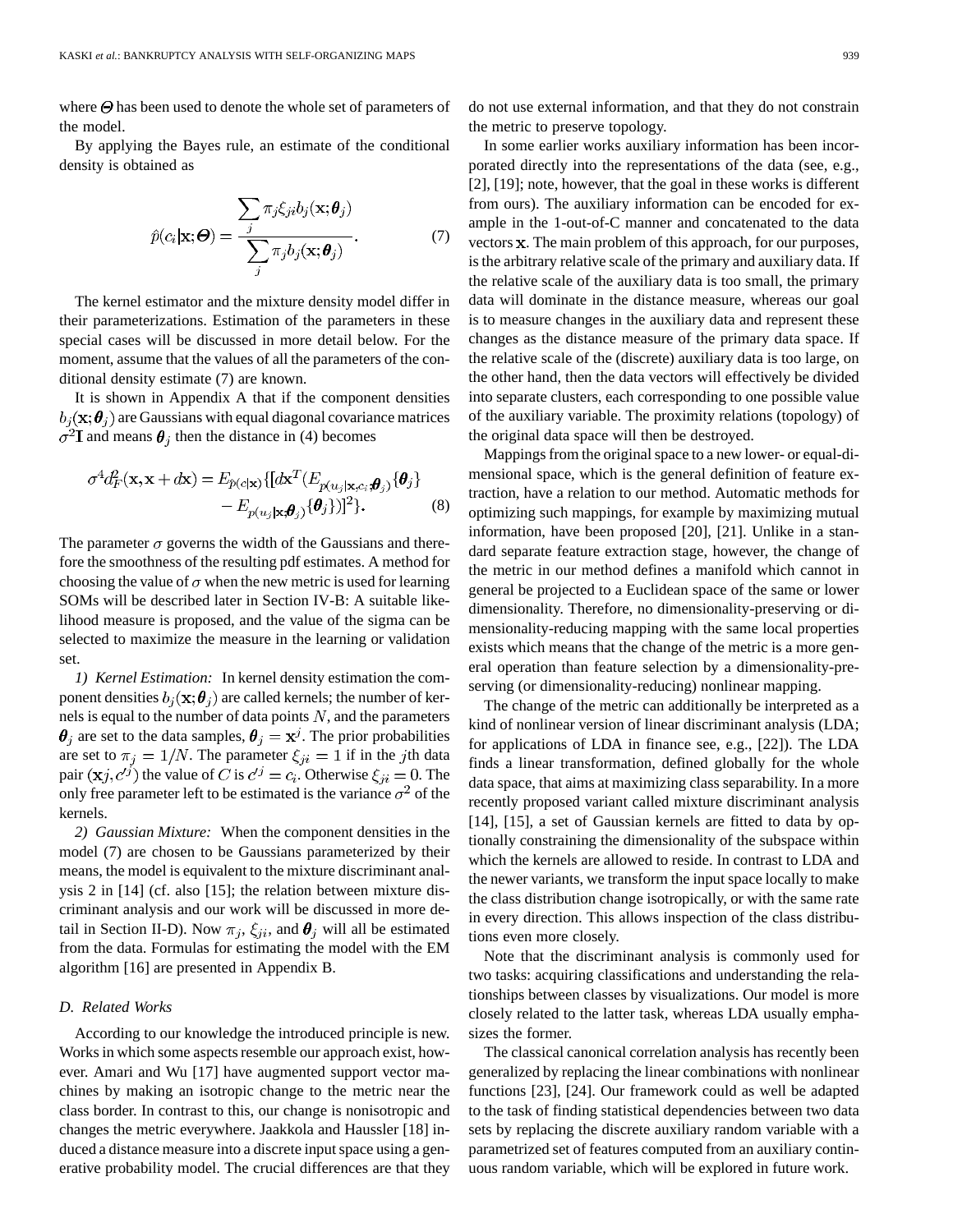where  $\Theta$  has been used to denote the whole set of parameters of the model.

By applying the Bayes rule, an estimate of the conditional density is obtained as

$$
\hat{p}(c_i|\mathbf{x};\boldsymbol{\Theta}) = \frac{\sum_j \pi_j \xi_{ji} b_j(\mathbf{x};\boldsymbol{\theta}_j)}{\sum_j \pi_j b_j(\mathbf{x};\boldsymbol{\theta}_j)}.
$$
\n(7)

The kernel estimator and the mixture density model differ in their parameterizations. Estimation of the parameters in these special cases will be discussed in more detail below. For the moment, assume that the values of all the parameters of the conditional density estimate (7) are known.

It is shown in Appendix A that if the component densities  $b_i(\mathbf{x}; \theta_i)$  are Gaussians with equal diagonal covariance matrices  $\sigma^2$ **I** and means  $\theta_i$  then the distance in (4) becomes

$$
\sigma^4 d_F^2(\mathbf{x}, \mathbf{x} + d\mathbf{x}) = E_{\hat{p}(c|\mathbf{x})} \{ [d\mathbf{x}^T (E_{p(u_j|\mathbf{x}, c_i; \boldsymbol{\theta}_j)} \{\boldsymbol{\theta}_j\}) - E_{p(u_j|\mathbf{x}; \boldsymbol{\theta}_j)} \{\boldsymbol{\theta}_j\}]^2 \}.
$$
 (8)

The parameter  $\sigma$  governs the width of the Gaussians and therefore the smoothness of the resulting pdf estimates. A method for choosing the value of  $\sigma$  when the new metric is used for learning SOMs will be described later in Section IV-B: A suitable likelihood measure is proposed, and the value of the sigma can be selected to maximize the measure in the learning or validation set.

*1) Kernel Estimation:* In kernel density estimation the component densities  $b_j(\mathbf{x}; \boldsymbol{\theta}_j)$  are called kernels; the number of kernels is equal to the number of data points  $N$ , and the parameters  $\theta_i$  are set to the data samples,  $\theta_i = x^j$ . The prior probabilities are set to  $\pi_j = 1/N$ . The parameter  $\xi_{ji} = 1$  if in the jth data pair  $(\mathbf{x}j, c^{j})$  the value of C is  $c^{j} = c_i$ . Otherwise  $\xi_{ji} = 0$ . The only free parameter left to be estimated is the variance  $\sigma^2$  of the kernels.

*2) Gaussian Mixture:* When the component densities in the model (7) are chosen to be Gaussians parameterized by their means, the model is equivalent to the mixture discriminant analysis 2 in [14] (cf. also [15]; the relation between mixture discriminant analysis and our work will be discussed in more detail in Section II-D). Now  $\pi_j$ ,  $\xi_{ji}$ , and  $\theta_j$  will all be estimated from the data. Formulas for estimating the model with the EM algorithm [16] are presented in Appendix B.

#### *D. Related Works*

According to our knowledge the introduced principle is new. Works in which some aspects resemble our approach exist, however. Amari and Wu [17] have augmented support vector machines by making an isotropic change to the metric near the class border. In contrast to this, our change is nonisotropic and changes the metric everywhere. Jaakkola and Haussler [18] induced a distance measure into a discrete input space using a generative probability model. The crucial differences are that they do not use external information, and that they do not constrain the metric to preserve topology.

In some earlier works auxiliary information has been incorporated directly into the representations of the data (see, e.g., [2], [19]; note, however, that the goal in these works is different from ours). The auxiliary information can be encoded for example in the 1-out-of-C manner and concatenated to the data vectors  $x$ . The main problem of this approach, for our purposes, is the arbitrary relative scale of the primary and auxiliary data. If the relative scale of the auxiliary data is too small, the primary data will dominate in the distance measure, whereas our goal is to measure changes in the auxiliary data and represent these changes as the distance measure of the primary data space. If the relative scale of the (discrete) auxiliary data is too large, on the other hand, then the data vectors will effectively be divided into separate clusters, each corresponding to one possible value of the auxiliary variable. The proximity relations (topology) of the original data space will then be destroyed.

Mappings from the original space to a new lower- or equal-dimensional space, which is the general definition of feature extraction, have a relation to our method. Automatic methods for optimizing such mappings, for example by maximizing mutual information, have been proposed [20], [21]. Unlike in a standard separate feature extraction stage, however, the change of the metric in our method defines a manifold which cannot in general be projected to a Euclidean space of the same or lower dimensionality. Therefore, no dimensionality-preserving or dimensionality-reducing mapping with the same local properties exists which means that the change of the metric is a more general operation than feature selection by a dimensionality-preserving (or dimensionality-reducing) nonlinear mapping.

The change of the metric can additionally be interpreted as a kind of nonlinear version of linear discriminant analysis (LDA; for applications of LDA in finance see, e.g., [22]). The LDA finds a linear transformation, defined globally for the whole data space, that aims at maximizing class separability. In a more recently proposed variant called mixture discriminant analysis [14], [15], a set of Gaussian kernels are fitted to data by optionally constraining the dimensionality of the subspace within which the kernels are allowed to reside. In contrast to LDA and the newer variants, we transform the input space locally to make the class distribution change isotropically, or with the same rate in every direction. This allows inspection of the class distributions even more closely.

Note that the discriminant analysis is commonly used for two tasks: acquiring classifications and understanding the relationships between classes by visualizations. Our model is more closely related to the latter task, whereas LDA usually emphasizes the former.

The classical canonical correlation analysis has recently been generalized by replacing the linear combinations with nonlinear functions [23], [24]. Our framework could as well be adapted to the task of finding statistical dependencies between two data sets by replacing the discrete auxiliary random variable with a parametrized set of features computed from an auxiliary continuous random variable, which will be explored in future work.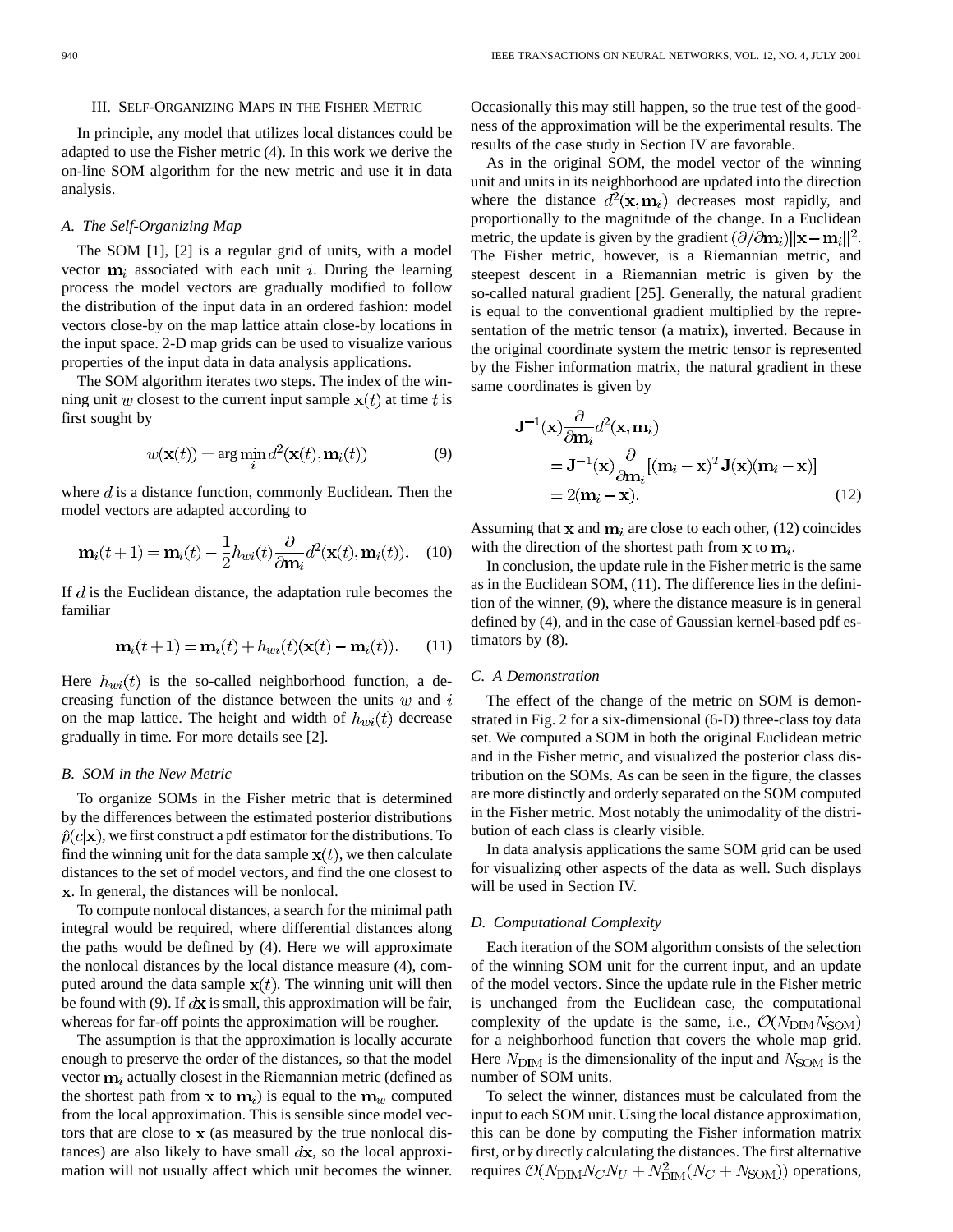#### III. SELF-ORGANIZING MAPS IN THE FISHER METRIC

In principle, any model that utilizes local distances could be adapted to use the Fisher metric (4). In this work we derive the on-line SOM algorithm for the new metric and use it in data analysis.

#### *A. The Self-Organizing Map*

The SOM [1], [2] is a regular grid of units, with a model vector  $m_i$  associated with each unit i. During the learning process the model vectors are gradually modified to follow the distribution of the input data in an ordered fashion: model vectors close-by on the map lattice attain close-by locations in the input space. 2-D map grids can be used to visualize various properties of the input data in data analysis applications.

The SOM algorithm iterates two steps. The index of the winning unit w closest to the current input sample  $x(t)$  at time t is first sought by

$$
w(\mathbf{x}(t)) = \arg\min_{i} d^2(\mathbf{x}(t), \mathbf{m}_i(t))
$$
\n(9)

where  $d$  is a distance function, commonly Euclidean. Then the model vectors are adapted according to

$$
\mathbf{m}_i(t+1) = \mathbf{m}_i(t) - \frac{1}{2}h_{wi}(t)\frac{\partial}{\partial \mathbf{m}_i}d^2(\mathbf{x}(t), \mathbf{m}_i(t)).
$$
 (10)

If  $d$  is the Euclidean distance, the adaptation rule becomes the familiar

$$
\mathbf{m}_i(t+1) = \mathbf{m}_i(t) + h_{wi}(t)(\mathbf{x}(t) - \mathbf{m}_i(t)).
$$
 (11)

Here  $h_{wi}(t)$  is the so-called neighborhood function, a decreasing function of the distance between the units  $w$  and  $i$ on the map lattice. The height and width of  $h_{wi}(t)$  decrease gradually in time. For more details see [2].

#### *B. SOM in the New Metric*

To organize SOMs in the Fisher metric that is determined by the differences between the estimated posterior distributions  $\hat{p}(c|\mathbf{x})$ , we first construct a pdf estimator for the distributions. To find the winning unit for the data sample  $x(t)$ , we then calculate distances to the set of model vectors, and find the one closest to . In general, the distances will be nonlocal.

To compute nonlocal distances, a search for the minimal path integral would be required, where differential distances along the paths would be defined by (4). Here we will approximate the nonlocal distances by the local distance measure (4), computed around the data sample  $x(t)$ . The winning unit will then be found with (9). If  $d\mathbf{x}$  is small, this approximation will be fair, whereas for far-off points the approximation will be rougher.

The assumption is that the approximation is locally accurate enough to preserve the order of the distances, so that the model vector  $m_i$  actually closest in the Riemannian metric (defined as the shortest path from **x** to  $m_i$ ) is equal to the  $m_w$  computed from the local approximation. This is sensible since model vectors that are close to  $x$  (as measured by the true nonlocal distances) are also likely to have small  $d\mathbf{x}$ , so the local approximation will not usually affect which unit becomes the winner.

Occasionally this may still happen, so the true test of the goodness of the approximation will be the experimental results. The results of the case study in Section IV are favorable.

As in the original SOM, the model vector of the winning unit and units in its neighborhood are updated into the direction where the distance  $d^2(\mathbf{x}, \mathbf{m}_i)$  decreases most rapidly, and proportionally to the magnitude of the change. In a Euclidean metric, the update is given by the gradient  $(\partial/\partial m_i) ||\mathbf{x} - \mathbf{m}_i||^2$ . The Fisher metric, however, is a Riemannian metric, and steepest descent in a Riemannian metric is given by the so-called natural gradient [25]. Generally, the natural gradient is equal to the conventional gradient multiplied by the representation of the metric tensor (a matrix), inverted. Because in the original coordinate system the metric tensor is represented by the Fisher information matrix, the natural gradient in these same coordinates is given by

$$
\mathbf{J}^{-1}(\mathbf{x}) \frac{\partial}{\partial \mathbf{m}_i} d^2(\mathbf{x}, \mathbf{m}_i)
$$
  
=  $\mathbf{J}^{-1}(\mathbf{x}) \frac{\partial}{\partial \mathbf{m}_i} [(\mathbf{m}_i - \mathbf{x})^T \mathbf{J}(\mathbf{x}) (\mathbf{m}_i - \mathbf{x})]$   
=  $2(\mathbf{m}_i - \mathbf{x}).$  (12)

Assuming that x and  $m_i$  are close to each other, (12) coincides with the direction of the shortest path from  $x$  to  $m_i$ .

In conclusion, the update rule in the Fisher metric is the same as in the Euclidean SOM, (11). The difference lies in the definition of the winner, (9), where the distance measure is in general defined by (4), and in the case of Gaussian kernel-based pdf estimators by (8).

#### *C. A Demonstration*

The effect of the change of the metric on SOM is demonstrated in Fig. 2 for a six-dimensional (6-D) three-class toy data set. We computed a SOM in both the original Euclidean metric and in the Fisher metric, and visualized the posterior class distribution on the SOMs. As can be seen in the figure, the classes are more distinctly and orderly separated on the SOM computed in the Fisher metric. Most notably the unimodality of the distribution of each class is clearly visible.

In data analysis applications the same SOM grid can be used for visualizing other aspects of the data as well. Such displays will be used in Section IV.

#### *D. Computational Complexity*

Each iteration of the SOM algorithm consists of the selection of the winning SOM unit for the current input, and an update of the model vectors. Since the update rule in the Fisher metric is unchanged from the Euclidean case, the computational complexity of the update is the same, i.e.,  $\mathcal{O}(N_{\text{DIM}}N_{\text{SOM}})$ for a neighborhood function that covers the whole map grid. Here  $N_{\text{DIM}}$  is the dimensionality of the input and  $N_{\text{SOM}}$  is the number of SOM units.

To select the winner, distances must be calculated from the input to each SOM unit. Using the local distance approximation, this can be done by computing the Fisher information matrix first, or by directly calculating the distances. The first alternative requires  $\mathcal{O}(N_{\text{DIM}}N_C N_U + N_{\text{DIM}}^2(N_C + N_{\text{SOM}}))$  operations,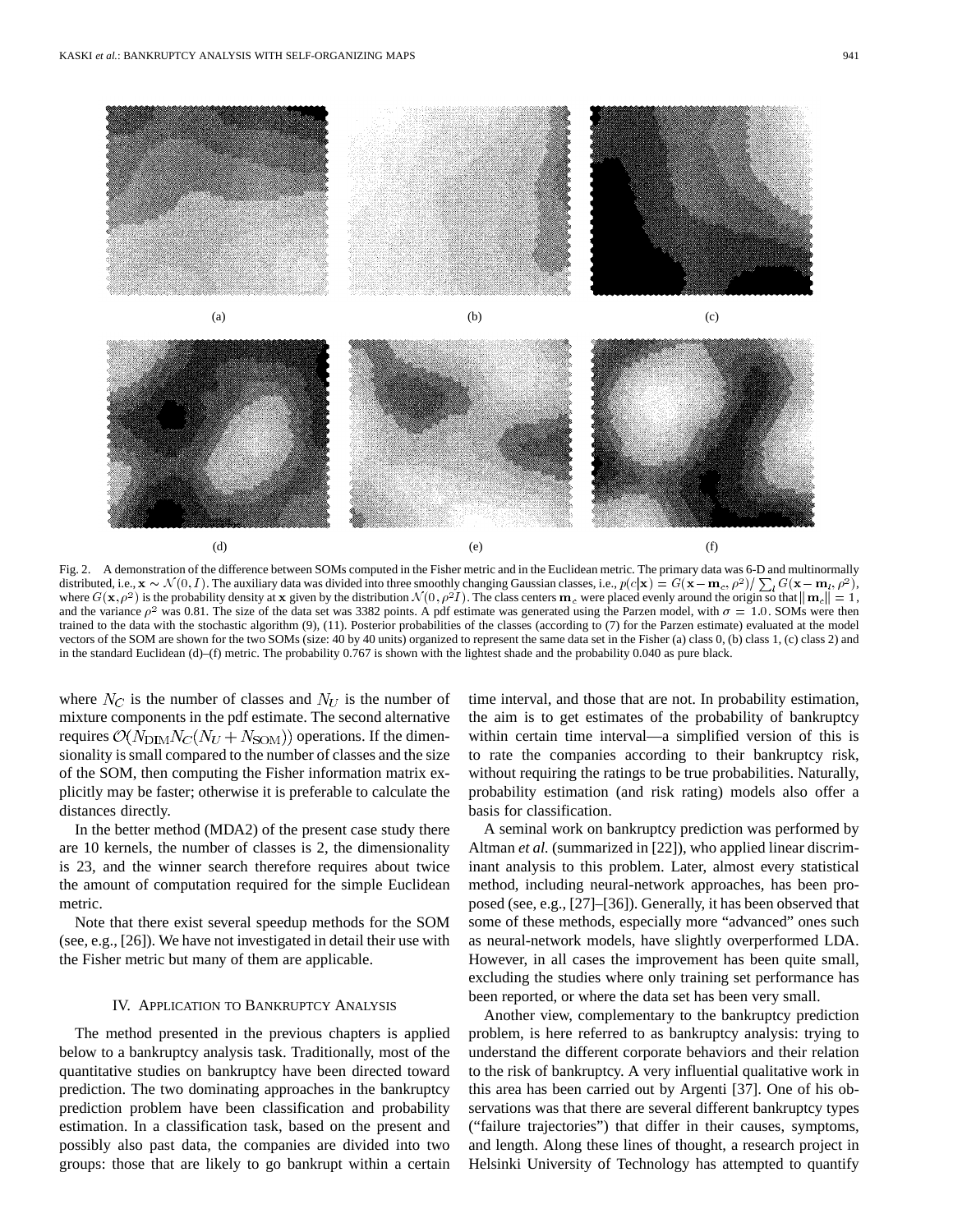

Fig. 2. A demonstration of the difference between SOMs computed in the Fisher metric and in the Euclidean metric. The primary data was 6-D and multinormally distributed, i.e.,  $\mathbf{x} \sim \mathcal{N}(0, I)$ . The auxiliary data was divided into three smoothly changing Gaussian classes, i.e.,  $p(c|\mathbf{x}) = G(\mathbf{x}-\mathbf{m}_c, \rho^2)/\sum_l G(\mathbf{x}-\mathbf{m}_l, \rho^2)$ , where  $G(\mathbf{x}, \rho^2)$  is the probability density at x given by the distribution  $\mathcal{N}(0, \rho^2 I)$ . The class centers  $\mathbf{m}_c$  were placed evenly around the origin so that  $||\mathbf{m}_c|| = 1$ , and the variance  $\rho^2$  was 0.81. The size of the data set was 3382 points. A pdf estimate was generated using the Parzen model, with  $\sigma = 1.0$ . SOMs were then trained to the data with the stochastic algorithm (9), (11). Posterior probabilities of the classes (according to (7) for the Parzen estimate) evaluated at the model vectors of the SOM are shown for the two SOMs (size: 40 by 40 units) organized to represent the same data set in the Fisher (a) class 0, (b) class 1, (c) class 2) and in the standard Euclidean (d)–(f) metric. The probability 0.767 is shown with the lightest shade and the probability 0.040 as pure black.

where  $N_C$  is the number of classes and  $N_U$  is the number of mixture components in the pdf estimate. The second alternative requires  $\mathcal{O}(N_{\text{DIM}}N_C(N_U+N_{\text{SOM}}))$  operations. If the dimensionality is small compared to the number of classes and the size of the SOM, then computing the Fisher information matrix explicitly may be faster; otherwise it is preferable to calculate the distances directly.

In the better method (MDA2) of the present case study there are 10 kernels, the number of classes is 2, the dimensionality is 23, and the winner search therefore requires about twice the amount of computation required for the simple Euclidean metric.

Note that there exist several speedup methods for the SOM (see, e.g., [26]). We have not investigated in detail their use with the Fisher metric but many of them are applicable.

#### IV. APPLICATION TO BANKRUPTCY ANALYSIS

The method presented in the previous chapters is applied below to a bankruptcy analysis task. Traditionally, most of the quantitative studies on bankruptcy have been directed toward prediction. The two dominating approaches in the bankruptcy prediction problem have been classification and probability estimation. In a classification task, based on the present and possibly also past data, the companies are divided into two groups: those that are likely to go bankrupt within a certain time interval, and those that are not. In probability estimation, the aim is to get estimates of the probability of bankruptcy within certain time interval—a simplified version of this is to rate the companies according to their bankruptcy risk, without requiring the ratings to be true probabilities. Naturally, probability estimation (and risk rating) models also offer a basis for classification.

A seminal work on bankruptcy prediction was performed by Altman *et al.* (summarized in [22]), who applied linear discriminant analysis to this problem. Later, almost every statistical method, including neural-network approaches, has been proposed (see, e.g., [27]–[36]). Generally, it has been observed that some of these methods, especially more "advanced" ones such as neural-network models, have slightly overperformed LDA. However, in all cases the improvement has been quite small, excluding the studies where only training set performance has been reported, or where the data set has been very small.

Another view, complementary to the bankruptcy prediction problem, is here referred to as bankruptcy analysis: trying to understand the different corporate behaviors and their relation to the risk of bankruptcy. A very influential qualitative work in this area has been carried out by Argenti [37]. One of his observations was that there are several different bankruptcy types ("failure trajectories") that differ in their causes, symptoms, and length. Along these lines of thought, a research project in Helsinki University of Technology has attempted to quantify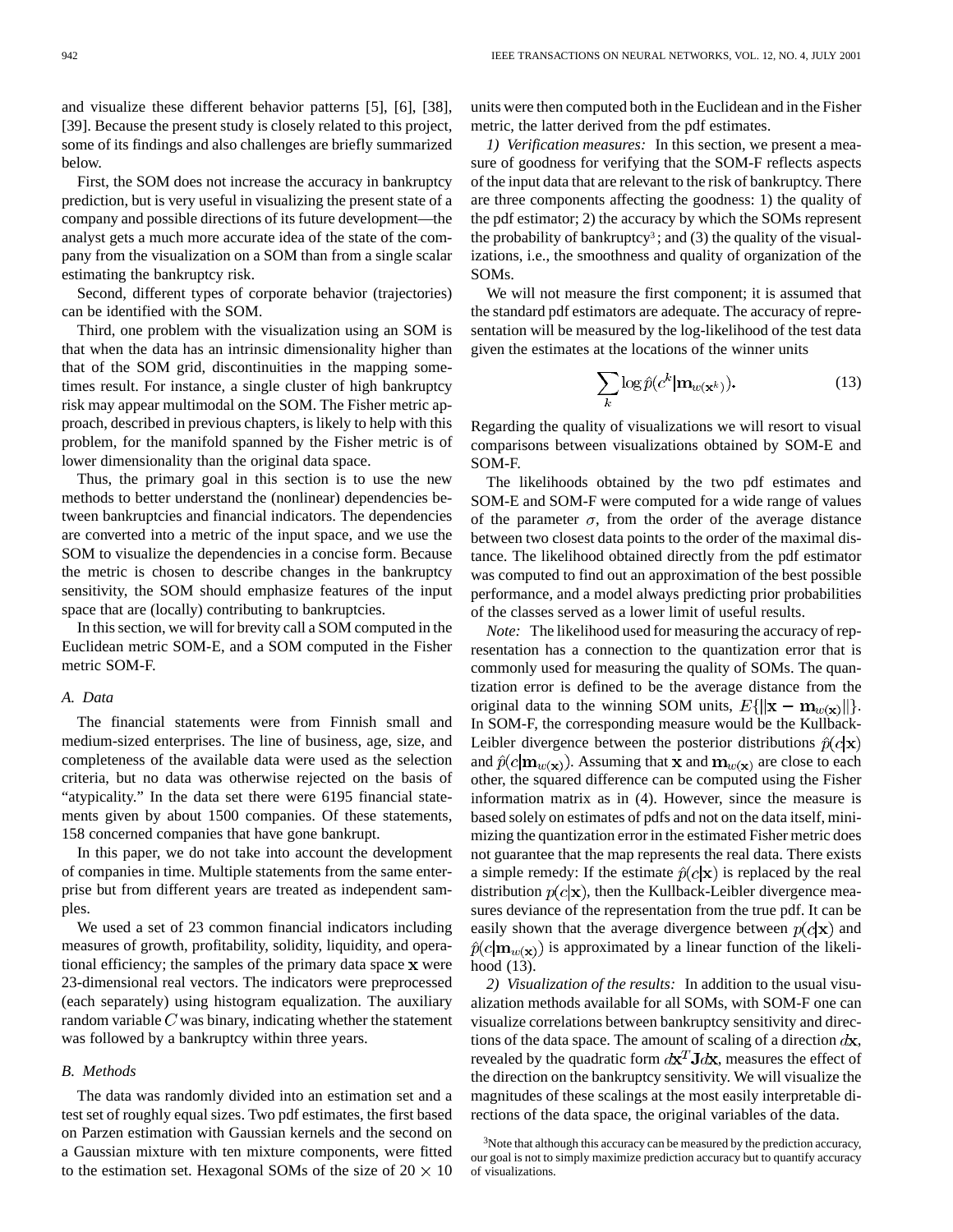and visualize these different behavior patterns [5], [6], [38], [39]. Because the present study is closely related to this project, some of its findings and also challenges are briefly summarized below.

First, the SOM does not increase the accuracy in bankruptcy prediction, but is very useful in visualizing the present state of a company and possible directions of its future development—the analyst gets a much more accurate idea of the state of the company from the visualization on a SOM than from a single scalar estimating the bankruptcy risk.

Second, different types of corporate behavior (trajectories) can be identified with the SOM.

Third, one problem with the visualization using an SOM is that when the data has an intrinsic dimensionality higher than that of the SOM grid, discontinuities in the mapping sometimes result. For instance, a single cluster of high bankruptcy risk may appear multimodal on the SOM. The Fisher metric approach, described in previous chapters, is likely to help with this problem, for the manifold spanned by the Fisher metric is of lower dimensionality than the original data space.

Thus, the primary goal in this section is to use the new methods to better understand the (nonlinear) dependencies between bankruptcies and financial indicators. The dependencies are converted into a metric of the input space, and we use the SOM to visualize the dependencies in a concise form. Because the metric is chosen to describe changes in the bankruptcy sensitivity, the SOM should emphasize features of the input space that are (locally) contributing to bankruptcies.

In this section, we will for brevity call a SOM computed in the Euclidean metric SOM-E, and a SOM computed in the Fisher metric SOM-F.

#### *A. Data*

The financial statements were from Finnish small and medium-sized enterprises. The line of business, age, size, and completeness of the available data were used as the selection criteria, but no data was otherwise rejected on the basis of "atypicality." In the data set there were 6195 financial statements given by about 1500 companies. Of these statements, 158 concerned companies that have gone bankrupt.

In this paper, we do not take into account the development of companies in time. Multiple statements from the same enterprise but from different years are treated as independent samples.

We used a set of 23 common financial indicators including measures of growth, profitability, solidity, liquidity, and operational efficiency; the samples of the primary data space  $x$  were 23-dimensional real vectors. The indicators were preprocessed (each separately) using histogram equalization. The auxiliary random variable  $C$  was binary, indicating whether the statement was followed by a bankruptcy within three years.

#### *B. Methods*

The data was randomly divided into an estimation set and a test set of roughly equal sizes. Two pdf estimates, the first based on Parzen estimation with Gaussian kernels and the second on a Gaussian mixture with ten mixture components, were fitted to the estimation set. Hexagonal SOMs of the size of  $20 \times 10$  units were then computed both in the Euclidean and in the Fisher metric, the latter derived from the pdf estimates.

*1) Verification measures:* In this section, we present a measure of goodness for verifying that the SOM-F reflects aspects of the input data that are relevant to the risk of bankruptcy. There are three components affecting the goodness: 1) the quality of the pdf estimator; 2) the accuracy by which the SOMs represent the probability of bankruptcy<sup>3</sup>; and (3) the quality of the visualizations, i.e., the smoothness and quality of organization of the SOMs.

We will not measure the first component; it is assumed that the standard pdf estimators are adequate. The accuracy of representation will be measured by the log-likelihood of the test data given the estimates at the locations of the winner units

$$
\sum_{k} \log \hat{p}(c^k | \mathbf{m}_{w(\mathbf{x}^k)}).
$$
 (13)

Regarding the quality of visualizations we will resort to visual comparisons between visualizations obtained by SOM-E and SOM-F.

The likelihoods obtained by the two pdf estimates and SOM-E and SOM-F were computed for a wide range of values of the parameter  $\sigma$ , from the order of the average distance between two closest data points to the order of the maximal distance. The likelihood obtained directly from the pdf estimator was computed to find out an approximation of the best possible performance, and a model always predicting prior probabilities of the classes served as a lower limit of useful results.

*Note:* The likelihood used for measuring the accuracy of representation has a connection to the quantization error that is commonly used for measuring the quality of SOMs. The quantization error is defined to be the average distance from the original data to the winning SOM units,  $E\{\|\mathbf{x} - \mathbf{m}_{w(\mathbf{x})}\|\}.$ In SOM-F, the corresponding measure would be the Kullback-Leibler divergence between the posterior distributions  $\hat{p}(c|\mathbf{x})$ and  $\hat{p}(c|\mathbf{m}_{w(\mathbf{x})})$ . Assuming that **x** and  $\mathbf{m}_{w(\mathbf{x})}$  are close to each other, the squared difference can be computed using the Fisher information matrix as in (4). However, since the measure is based solely on estimates of pdfs and not on the data itself, minimizing the quantization error in the estimated Fisher metric does not guarantee that the map represents the real data. There exists a simple remedy: If the estimate  $\hat{p}(c|\mathbf{x})$  is replaced by the real distribution  $p(c|\mathbf{x})$ , then the Kullback-Leibler divergence measures deviance of the representation from the true pdf. It can be easily shown that the average divergence between  $p(c|\mathbf{x})$  and  $\hat{p}(c|\mathbf{m}_{w(\mathbf{x})})$  is approximated by a linear function of the likelihood (13).

*2) Visualization of the results:* In addition to the usual visualization methods available for all SOMs, with SOM-F one can visualize correlations between bankruptcy sensitivity and directions of the data space. The amount of scaling of a direction  $d\mathbf{x}$ , revealed by the quadratic form  $dx^T \mathbf{J} dx$ , measures the effect of the direction on the bankruptcy sensitivity. We will visualize the magnitudes of these scalings at the most easily interpretable directions of the data space, the original variables of the data.

<sup>3</sup>Note that although this accuracy can be measured by the prediction accuracy, our goal is not to simply maximize prediction accuracy but to quantify accuracy of visualizations.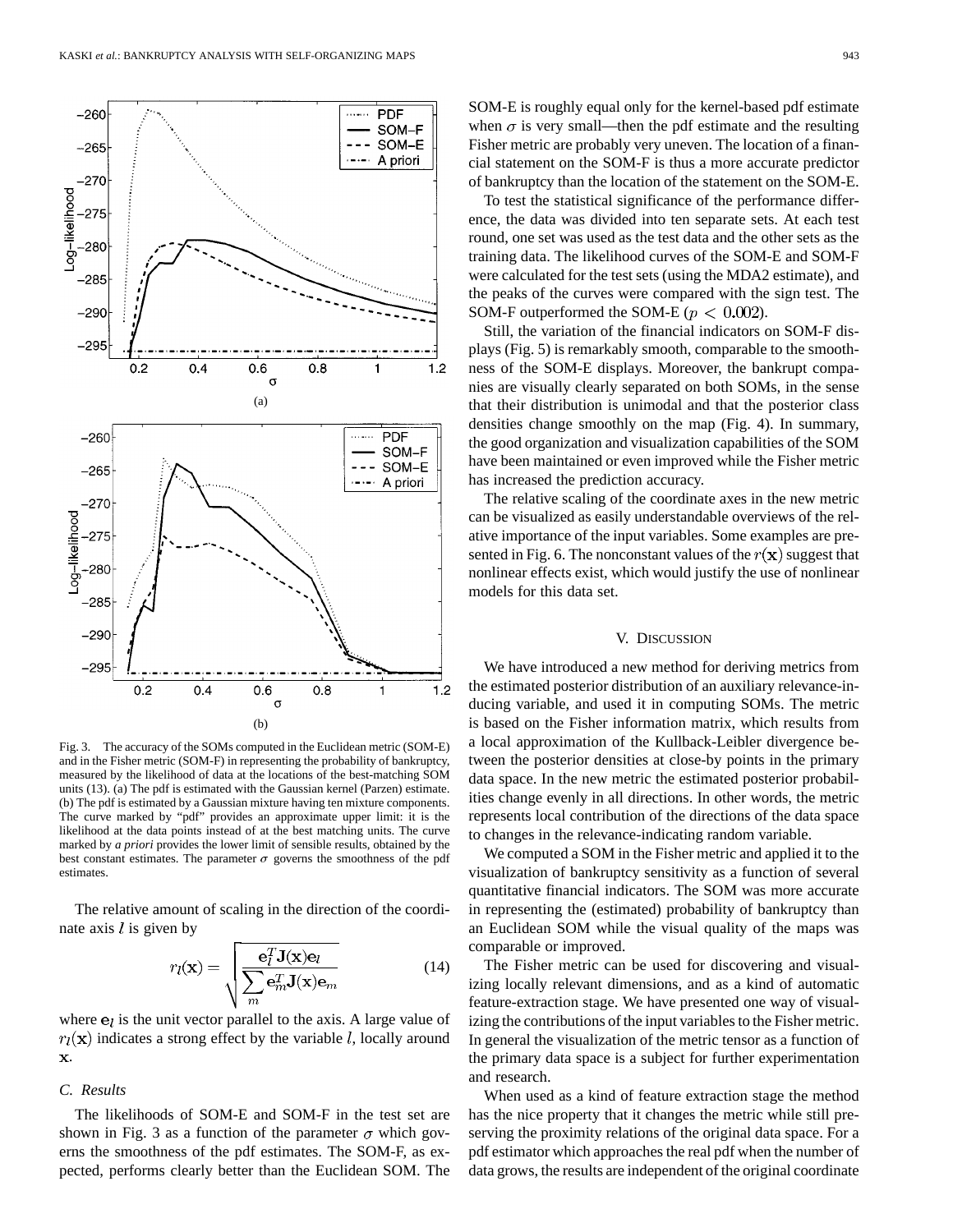

Fig. 3. The accuracy of the SOMs computed in the Euclidean metric (SOM-E) and in the Fisher metric (SOM-F) in representing the probability of bankruptcy, measured by the likelihood of data at the locations of the best-matching SOM units (13). (a) The pdf is estimated with the Gaussian kernel (Parzen) estimate. (b) The pdf is estimated by a Gaussian mixture having ten mixture components. The curve marked by "pdf" provides an approximate upper limit: it is the likelihood at the data points instead of at the best matching units. The curve marked by *a priori* provides the lower limit of sensible results, obtained by the best constant estimates. The parameter  $\sigma$  governs the smoothness of the pdf estimates.

The relative amount of scaling in the direction of the coordinate axis  $l$  is given by

$$
r_l(\mathbf{x}) = \sqrt{\frac{\mathbf{e}_l^T \mathbf{J}(\mathbf{x}) \mathbf{e}_l}{\sum_{m} \mathbf{e}_m^T \mathbf{J}(\mathbf{x}) \mathbf{e}_m}}
$$
(14)

where  $e_i$  is the unit vector parallel to the axis. A large value of  $r_l(\mathbf{x})$  indicates a strong effect by the variable l, locally around  $\mathbf{x}$ .

#### *C. Results*

The likelihoods of SOM-E and SOM-F in the test set are shown in Fig. 3 as a function of the parameter  $\sigma$  which governs the smoothness of the pdf estimates. The SOM-F, as expected, performs clearly better than the Euclidean SOM. The SOM-E is roughly equal only for the kernel-based pdf estimate when  $\sigma$  is very small—then the pdf estimate and the resulting Fisher metric are probably very uneven. The location of a financial statement on the SOM-F is thus a more accurate predictor of bankruptcy than the location of the statement on the SOM-E.

To test the statistical significance of the performance difference, the data was divided into ten separate sets. At each test round, one set was used as the test data and the other sets as the training data. The likelihood curves of the SOM-E and SOM-F were calculated for the test sets (using the MDA2 estimate), and the peaks of the curves were compared with the sign test. The SOM-F outperformed the SOM-E ( $p < 0.002$ ).

Still, the variation of the financial indicators on SOM-F displays (Fig. 5) is remarkably smooth, comparable to the smoothness of the SOM-E displays. Moreover, the bankrupt companies are visually clearly separated on both SOMs, in the sense that their distribution is unimodal and that the posterior class densities change smoothly on the map (Fig. 4). In summary, the good organization and visualization capabilities of the SOM have been maintained or even improved while the Fisher metric has increased the prediction accuracy.

The relative scaling of the coordinate axes in the new metric can be visualized as easily understandable overviews of the relative importance of the input variables. Some examples are presented in Fig. 6. The nonconstant values of the  $r(\mathbf{x})$  suggest that nonlinear effects exist, which would justify the use of nonlinear models for this data set.

#### V. DISCUSSION

We have introduced a new method for deriving metrics from the estimated posterior distribution of an auxiliary relevance-inducing variable, and used it in computing SOMs. The metric is based on the Fisher information matrix, which results from a local approximation of the Kullback-Leibler divergence between the posterior densities at close-by points in the primary data space. In the new metric the estimated posterior probabilities change evenly in all directions. In other words, the metric represents local contribution of the directions of the data space to changes in the relevance-indicating random variable.

We computed a SOM in the Fisher metric and applied it to the visualization of bankruptcy sensitivity as a function of several quantitative financial indicators. The SOM was more accurate in representing the (estimated) probability of bankruptcy than an Euclidean SOM while the visual quality of the maps was comparable or improved.

The Fisher metric can be used for discovering and visualizing locally relevant dimensions, and as a kind of automatic feature-extraction stage. We have presented one way of visualizing the contributions of the input variables to the Fisher metric. In general the visualization of the metric tensor as a function of the primary data space is a subject for further experimentation and research.

When used as a kind of feature extraction stage the method has the nice property that it changes the metric while still preserving the proximity relations of the original data space. For a pdf estimator which approaches the real pdf when the number of data grows, the results are independent of the original coordinate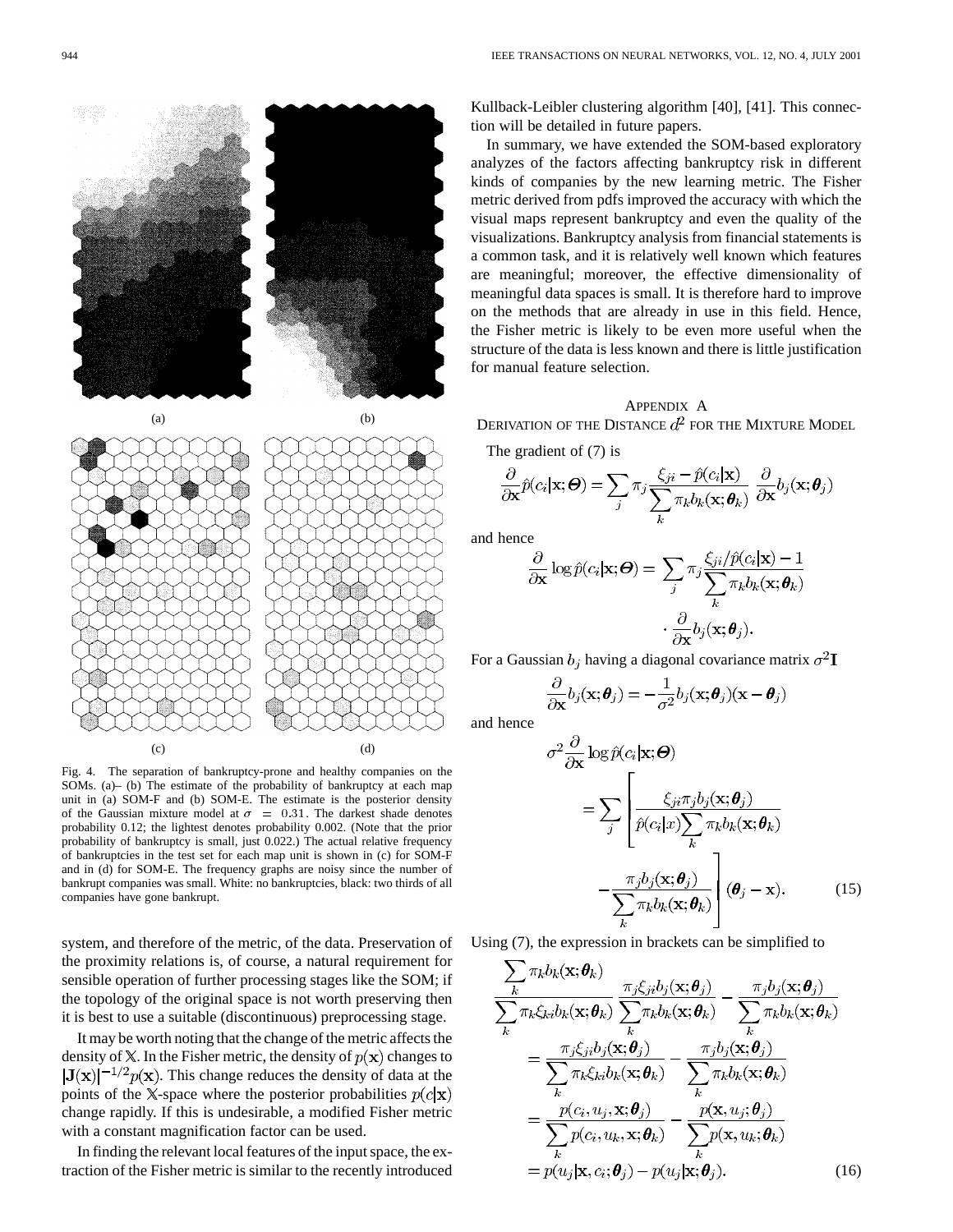

Fig. 4. The separation of bankruptcy-prone and healthy companies on the SOMs. (a)– (b) The estimate of the probability of bankruptcy at each map unit in (a) SOM-F and (b) SOM-E. The estimate is the posterior density of the Gaussian mixture model at  $\sigma = 0.31$ . The darkest shade denotes probability 0.12; the lightest denotes probability 0.002. (Note that the prior probability of bankruptcy is small, just 0.022.) The actual relative frequency of bankruptcies in the test set for each map unit is shown in (c) for SOM-F and in (d) for SOM-E. The frequency graphs are noisy since the number of bankrupt companies was small. White: no bankruptcies, black: two thirds of all companies have gone bankrupt.

system, and therefore of the metric, of the data. Preservation of the proximity relations is, of course, a natural requirement for sensible operation of further processing stages like the SOM; if the topology of the original space is not worth preserving then it is best to use a suitable (discontinuous) preprocessing stage.

It may be worth noting that the change of the metric affects the density of X. In the Fisher metric, the density of  $p(\mathbf{x})$  changes to  $|{\bf J}({\bf x})|^{-1/2}p({\bf x})$ . This change reduces the density of data at the points of the X-space where the posterior probabilities  $p(c|\mathbf{x})$ change rapidly. If this is undesirable, a modified Fisher metric with a constant magnification factor can be used.

In finding the relevant local features of the input space, the extraction of the Fisher metric is similar to the recently introduced

Kullback-Leibler clustering algorithm [40], [41]. This connection will be detailed in future papers.

In summary, we have extended the SOM-based exploratory analyzes of the factors affecting bankruptcy risk in different kinds of companies by the new learning metric. The Fisher metric derived from pdfs improved the accuracy with which the visual maps represent bankruptcy and even the quality of the visualizations. Bankruptcy analysis from financial statements is a common task, and it is relatively well known which features are meaningful; moreover, the effective dimensionality of meaningful data spaces is small. It is therefore hard to improve on the methods that are already in use in this field. Hence, the Fisher metric is likely to be even more useful when the structure of the data is less known and there is little justification for manual feature selection.

#### APPENDIX A

DERIVATION OF THE DISTANCE  $d^2$  for the MIXTURE MODEL

The gradient of (7) is

$$
\frac{\partial}{\partial \mathbf{x}} \hat{p}(c_i|\mathbf{x}; \boldsymbol{\Theta}) = \sum_j \pi_j \frac{\xi_{ji} - \hat{p}(c_i|\mathbf{x})}{\sum_k \pi_k b_k(\mathbf{x}; \boldsymbol{\theta}_k)} \frac{\partial}{\partial \mathbf{x}} b_j(\mathbf{x}; \boldsymbol{\theta}_j)
$$

and hence

$$
\frac{\partial}{\partial \mathbf{x}} \log \hat{p}(c_i|\mathbf{x}; \boldsymbol{\Theta}) = \sum_j \pi_j \frac{\xi_{ji}/\hat{p}(c_i|\mathbf{x}) - 1}{\sum_k \pi_k b_k(\mathbf{x}; \boldsymbol{\theta}_k)} \cdot \frac{\partial}{\partial \mathbf{x}} b_j(\mathbf{x}; \boldsymbol{\theta}_j).
$$

For a Gaussian  $b_i$  having a diagonal covariance matrix  $\sigma^2$ **I** 

$$
\frac{\partial}{\partial \mathbf{x}} b_j(\mathbf{x}; \boldsymbol{\theta}_j) = -\frac{1}{\sigma^2} b_j(\mathbf{x}; \boldsymbol{\theta}_j)(\mathbf{x} - \boldsymbol{\theta}_j)
$$

and hence

$$
\sigma^2 \frac{\partial}{\partial \mathbf{x}} \log \hat{p}(c_i | \mathbf{x}; \boldsymbol{\Theta})
$$
  
= 
$$
\sum_j \left[ \frac{\xi_{ji} \pi_j b_j(\mathbf{x}; \boldsymbol{\theta}_j)}{\hat{p}(c_i | \mathbf{x}) \sum_k \pi_k b_k(\mathbf{x}; \boldsymbol{\theta}_k)} - \frac{\pi_j b_j(\mathbf{x}; \boldsymbol{\theta}_j)}{\sum_k \pi_k b_k(\mathbf{x}; \boldsymbol{\theta}_k)} \right] (\boldsymbol{\theta}_j - \mathbf{x}).
$$
 (15)

Using (7), the expression in brackets can be simplified to

$$
\frac{\sum_{k} \pi_{k}b_{k}(\mathbf{x}; \boldsymbol{\theta}_{k})}{\sum_{k} \pi_{k}\xi_{ki}b_{k}(\mathbf{x}; \boldsymbol{\theta}_{k})} \frac{\pi_{j}\xi_{ji}b_{j}(\mathbf{x}; \boldsymbol{\theta}_{j})}{\sum_{k} \pi_{k}b_{k}(\mathbf{x}; \boldsymbol{\theta}_{k})} - \frac{\pi_{j}b_{j}(\mathbf{x}; \boldsymbol{\theta}_{j})}{\sum_{k} \pi_{k}b_{k}(\mathbf{x}; \boldsymbol{\theta}_{k})}
$$
\n
$$
= \frac{\pi_{j}\xi_{ji}b_{j}(\mathbf{x}; \boldsymbol{\theta}_{j})}{\sum_{k} \pi_{k}\xi_{ki}b_{k}(\mathbf{x}; \boldsymbol{\theta}_{k})} - \frac{\pi_{j}b_{j}(\mathbf{x}; \boldsymbol{\theta}_{j})}{\sum_{k} \pi_{k}b_{k}(\mathbf{x}; \boldsymbol{\theta}_{k})}
$$
\n
$$
= \frac{p(c_{i}, u_{j}, \mathbf{x}; \boldsymbol{\theta}_{j})}{\sum_{k} p(c_{i}, u_{k}, \mathbf{x}; \boldsymbol{\theta}_{k})} - \frac{p(\mathbf{x}, u_{j}; \boldsymbol{\theta}_{j})}{\sum_{k} p(\mathbf{x}, u_{k}; \boldsymbol{\theta}_{k})}
$$
\n
$$
= p(u_{j}|\mathbf{x}, c_{i}; \boldsymbol{\theta}_{j}) - p(u_{j}|\mathbf{x}; \boldsymbol{\theta}_{j}). \qquad (16)
$$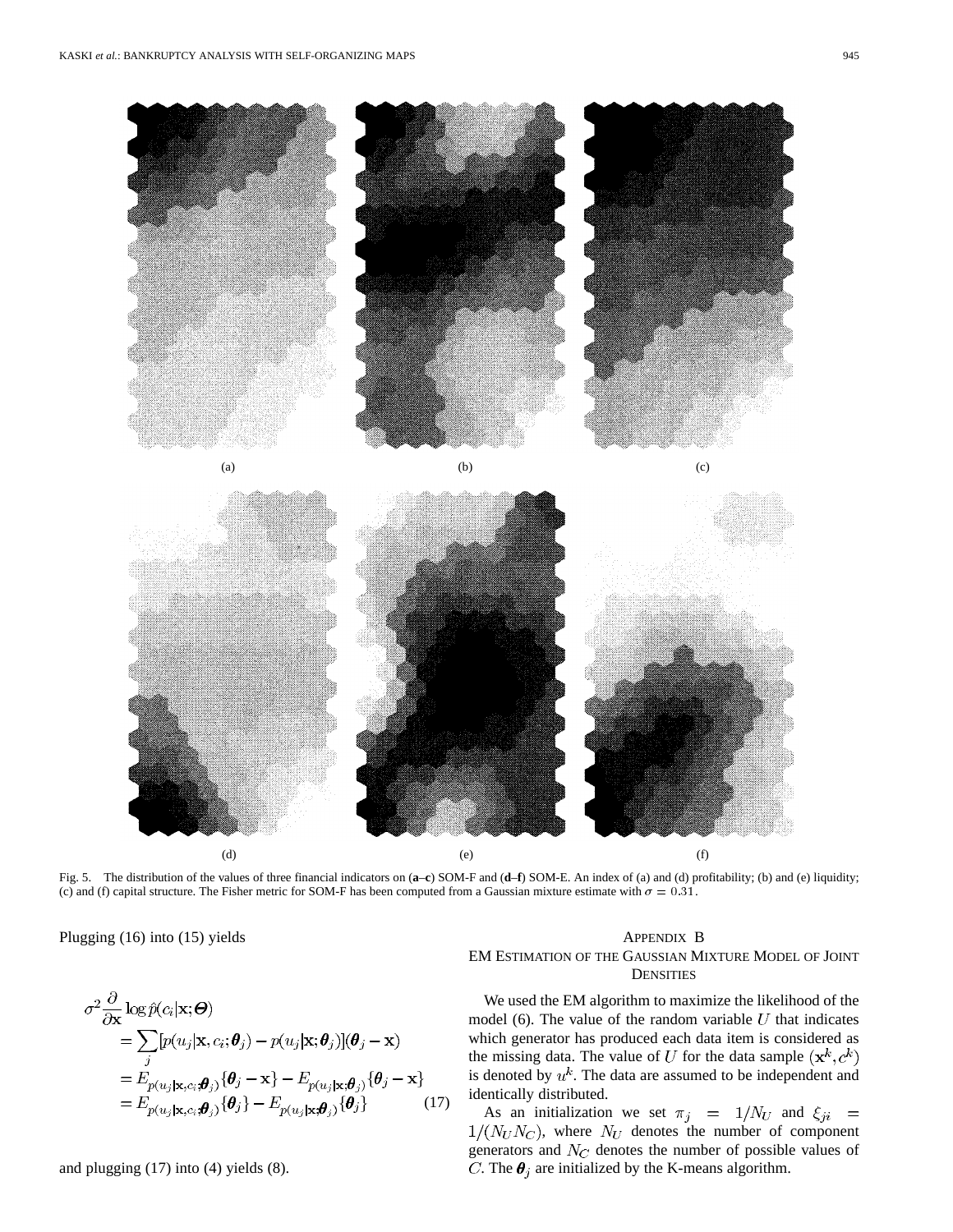

Fig. 5. The distribution of the values of three financial indicators on (**a**–**c**) SOM-F and (**d**–**f**) SOM-E. An index of (a) and (d) profitability; (b) and (e) liquidity; (c) and (f) capital structure. The Fisher metric for SOM-F has been computed from a Gaussian mixture estimate with  $\sigma = 0.31$ .

Plugging (16) into (15) yields

# $\sigma^2 \frac{\partial}{\partial x} \log \hat{p}(c_i | \mathbf{x}; \boldsymbol{\Theta})$  $\mathbf{X} = \sum_{j} [p(u_j|\mathbf{x}, c_i; \boldsymbol{\theta}_j) - p(u_j|\mathbf{x}; \boldsymbol{\theta}_j)](\boldsymbol{\theta}_j - \mathbf{x})$ <br>  $= E_{p(u_j|\mathbf{x}, c_i; \boldsymbol{\theta}_j)} {\boldsymbol{\theta}_j - \mathbf{x}} - E_{p(u_j|\mathbf{x}; \boldsymbol{\theta}_j)} {\boldsymbol{\theta}_j - \mathbf{x}}$ <br>  $= E_{p(u_j|\mathbf{x}, c_i; \boldsymbol{\theta}_j)} {\boldsymbol{\theta}_j} - E_{p(u_j|\mathbf{x}; \boldsymbol{\theta}_j)} {\boldsymbol{\theta}_j}$  (17)

#### and plugging (17) into (4) yields (8).

#### APPENDIX B EM ESTIMATION OF THE GAUSSIAN MIXTURE MODEL OF JOINT **DENSITIES**

We used the EM algorithm to maximize the likelihood of the model (6). The value of the random variable  $U$  that indicates which generator has produced each data item is considered as the missing data. The value of U for the data sample  $(\mathbf{x}^k, c^k)$ is denoted by  $u^k$ . The data are assumed to be independent and identically distributed.

As an initialization we set  $\pi_j = 1/N_U$  and  $\xi_{ji} =$  $1/(N_U N_C)$ , where  $N_U$  denotes the number of component generators and  $N_C$  denotes the number of possible values of C. The  $\theta_j$  are initialized by the K-means algorithm.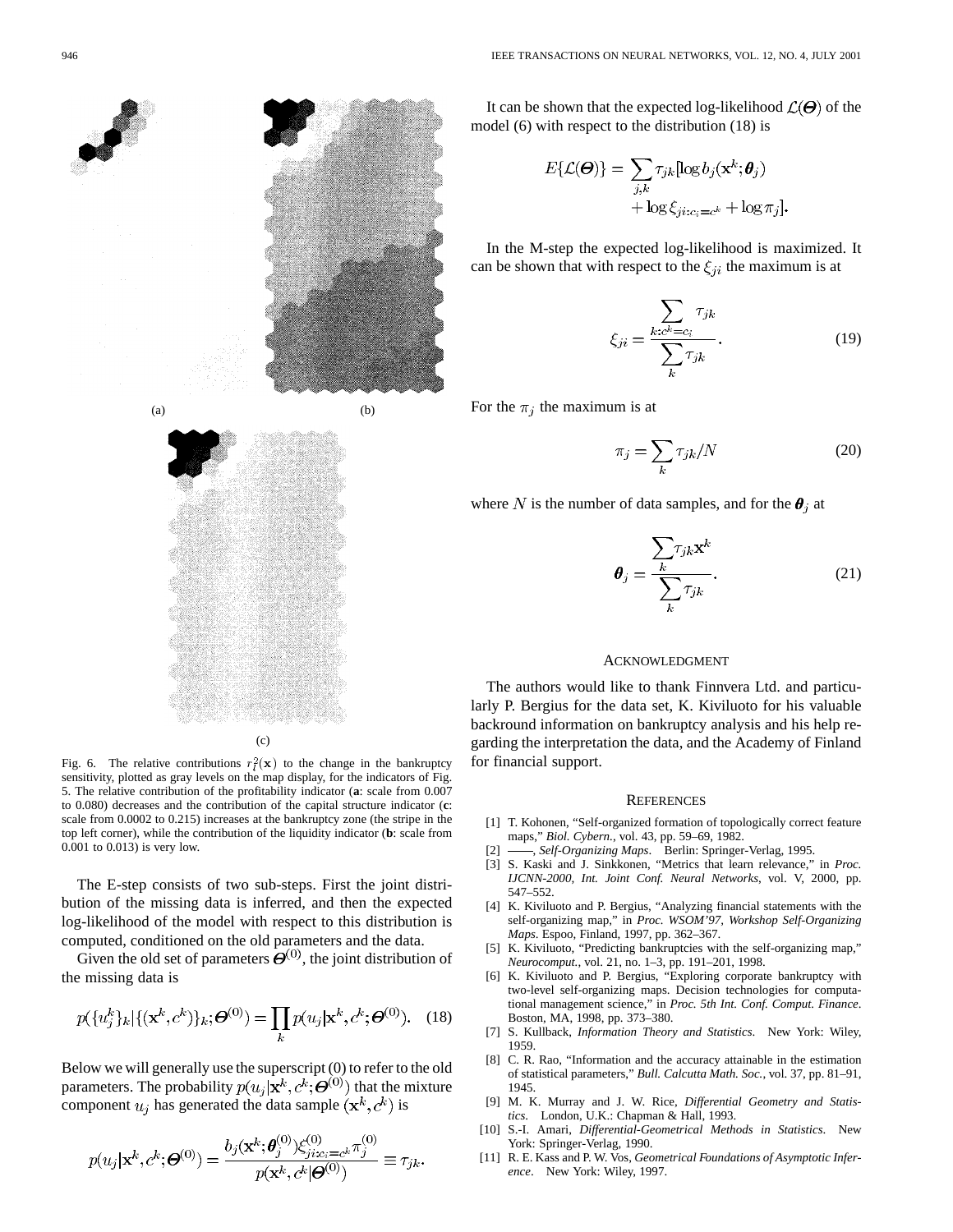

(c)

Fig. 6. The relative contributions  $r_i^2(\mathbf{x})$  to the change in the bankruptcy sensitivity, plotted as gray levels on the map display, for the indicators of Fig. 5. The relative contribution of the profitability indicator (**a**: scale from 0.007 to 0.080) decreases and the contribution of the capital structure indicator (**c**: scale from 0.0002 to 0.215) increases at the bankruptcy zone (the stripe in the top left corner), while the contribution of the liquidity indicator (**b**: scale from 0.001 to 0.013) is very low.

The E-step consists of two sub-steps. First the joint distribution of the missing data is inferred, and then the expected log-likelihood of the model with respect to this distribution is computed, conditioned on the old parameters and the data.

Given the old set of parameters  $\boldsymbol{\Theta}^{(0)}$ , the joint distribution of the missing data is

$$
p({u_j^k}_{k}|({\mathbf{x}}^k, c^k){\mathbf{k}}; \boldsymbol{\Theta}^{(0)}) = \prod_k p(u_j | {\mathbf{x}}^k, c^k; \boldsymbol{\Theta}^{(0)}).
$$
 (18)

Below we will generally use the superscript (0) to refer to the old parameters. The probability  $p(u_j|\mathbf{x}^k, c^k; \boldsymbol{\Theta}^{(0)})$  that the mixture component  $u_j$  has generated the data sample  $(\mathbf{x}^k, c^k)$  is

$$
p(u_j|\mathbf{x}^k, c^k; \boldsymbol{\Theta}^{(0)}) = \frac{b_j(\mathbf{x}^k; \boldsymbol{\theta}_j^{(0)})\xi_{jic_j=c^k}^{(0)}\pi_j^{(0)}}{p(\mathbf{x}^k, c^k|\boldsymbol{\Theta}^{(0)})} \equiv \tau_{jk}
$$

It can be shown that the expected log-likelihood  $\mathcal{L}(\Theta)$  of the model (6) with respect to the distribution (18) is

$$
E\{\mathcal{L}(\boldsymbol{\Theta})\} = \sum_{j,k} \tau_{jk} [\log b_j(\mathbf{x}^k; \boldsymbol{\theta}_j) + \log \xi_{jic_i=c^k} + \log \pi_j]
$$

In the M-step the expected log-likelihood is maximized. It can be shown that with respect to the  $\xi_{ji}$  the maximum is at

$$
\xi_{ji} = \frac{\sum_{k:c^k = c_i} \tau_{jk}}{\sum_k \tau_{jk}}.
$$
\n(19)

For the  $\pi_j$  the maximum is at

$$
\pi_j = \sum_k \tau_{jk}/N \tag{20}
$$

where N is the number of data samples, and for the  $\theta_j$  at

$$
\theta_j = \frac{\sum_{k} \tau_{jk} \mathbf{x}^k}{\sum_{k} \tau_{jk}}.
$$
\n(21)

#### ACKNOWLEDGMENT

The authors would like to thank Finnvera Ltd. and particularly P. Bergius for the data set, K. Kiviluoto for his valuable backround information on bankruptcy analysis and his help regarding the interpretation the data, and the Academy of Finland for financial support.

#### **REFERENCES**

- [1] T. Kohonen, "Self-organized formation of topologically correct feature maps," *Biol. Cybern.*, vol. 43, pp. 59–69, 1982.
- [2] , *Self-Organizing Maps*. Berlin: Springer-Verlag, 1995.
- [3] S. Kaski and J. Sinkkonen, "Metrics that learn relevance," in *Proc. IJCNN-2000, Int. Joint Conf. Neural Networks*, vol. V, 2000, pp. 547–552.
- [4] K. Kiviluoto and P. Bergius, "Analyzing financial statements with the self-organizing map," in *Proc. WSOM'97, Workshop Self-Organizing Maps*. Espoo, Finland, 1997, pp. 362–367.
- [5] K. Kiviluoto, "Predicting bankruptcies with the self-organizing map," *Neurocomput.*, vol. 21, no. 1–3, pp. 191–201, 1998.
- [6] K. Kiviluoto and P. Bergius, "Exploring corporate bankruptcy with two-level self-organizing maps. Decision technologies for computational management science," in *Proc. 5th Int. Conf. Comput. Finance*. Boston, MA, 1998, pp. 373–380.
- [7] S. Kullback, *Information Theory and Statistics*. New York: Wiley, 1959.
- [8] C. R. Rao, "Information and the accuracy attainable in the estimation of statistical parameters," *Bull. Calcutta Math. Soc.*, vol. 37, pp. 81–91, 1945.
- [9] M. K. Murray and J. W. Rice, *Differential Geometry and Statistics*. London, U.K.: Chapman & Hall, 1993.
- [10] S.-I. Amari, *Differential-Geometrical Methods in Statistics*. New York: Springer-Verlag, 1990.
- [11] R. E. Kass and P. W. Vos, *Geometrical Foundations of Asymptotic Inference*. New York: Wiley, 1997.